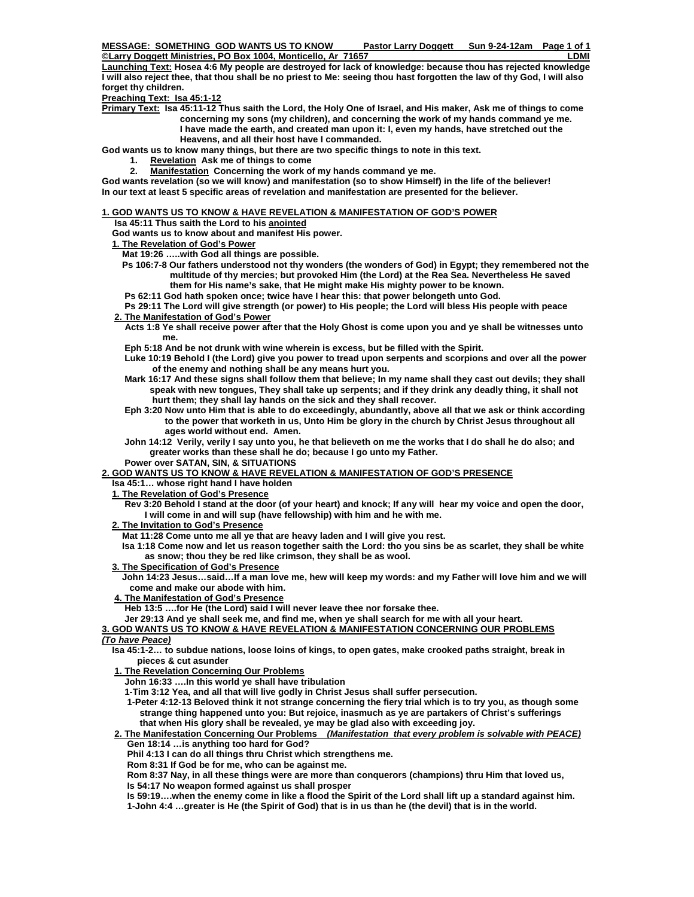**MESSAGE: SOMETHING GOD WANTS US TO KNOW Pastor Larry Doggett Sun 9-24-12am Page 1 of 1** 

**©Larry Doggett Ministries, PO Box 1004, Monticello, Ar 71657 LDMI Launching Text: Hosea 4:6 My people are destroyed for lack of knowledge: because thou has rejected knowledge I will also reject thee, that thou shall be no priest to Me: seeing thou hast forgotten the law of thy God, I will also forget thy children.** 

**Preaching Text: Isa 45:1-12**

**Primary Text: Isa 45:11-12 Thus saith the Lord, the Holy One of Israel, and His maker, Ask me of things to come concerning my sons (my children), and concerning the work of my hands command ye me. I have made the earth, and created man upon it: I, even my hands, have stretched out the Heavens, and all their host have I commanded.** 

**God wants us to know many things, but there are two specific things to note in this text.** 

- **1. Revelation Ask me of things to come**
- **2. Manifestation Concerning the work of my hands command ye me.**

**God wants revelation (so we will know) and manifestation (so to show Himself) in the life of the believer! In our text at least 5 specific areas of revelation and manifestation are presented for the believer.** 

# **1. GOD WANTS US TO KNOW & HAVE REVELATION & MANIFESTATION OF GOD'S POWER**

 **Isa 45:11 Thus saith the Lord to his anointed**

 **God wants us to know about and manifest His power.** 

### **1. The Revelation of God's Power**

 **Mat 19:26 …..with God all things are possible.** 

- **Ps 106:7-8 Our fathers understood not thy wonders (the wonders of God) in Egypt; they remembered not the multitude of thy mercies; but provoked Him (the Lord) at the Rea Sea. Nevertheless He saved them for His name's sake, that He might make His mighty power to be known.**
- **Ps 62:11 God hath spoken once; twice have I hear this: that power belongeth unto God.**

 **Ps 29:11 The Lord will give strength (or power) to His people; the Lord will bless His people with peace** 

- **2. The Manifestation of God's Power**
	- **Acts 1:8 Ye shall receive power after that the Holy Ghost is come upon you and ye shall be witnesses unto me.**
	- **Eph 5:18 And be not drunk with wine wherein is excess, but be filled with the Spirit.**
	- **Luke 10:19 Behold I (the Lord) give you power to tread upon serpents and scorpions and over all the power of the enemy and nothing shall be any means hurt you.**
	- **Mark 16:17 And these signs shall follow them that believe; In my name shall they cast out devils; they shall speak with new tongues, They shall take up serpents; and if they drink any deadly thing, it shall not hurt them; they shall lay hands on the sick and they shall recover.**
	- **Eph 3:20 Now unto Him that is able to do exceedingly, abundantly, above all that we ask or think according to the power that worketh in us, Unto Him be glory in the church by Christ Jesus throughout all ages world without end. Amen.**
	- **John 14:12 Verily, verily I say unto you, he that believeth on me the works that I do shall he do also; and greater works than these shall he do; because I go unto my Father.**
	- **Power over SATAN, SIN, & SITUATIONS**

## **2. GOD WANTS US TO KNOW & HAVE REVELATION & MANIFESTATION OF GOD'S PRESENCE**

 **Isa 45:1… whose right hand I have holden** 

- **1. The Revelation of God's Presence**
	- **Rev 3:20 Behold I stand at the door (of your heart) and knock; If any will hear my voice and open the door, I will come in and will sup (have fellowship) with him and he with me.**
- **2. The Invitation to God's Presence**
	- **Mat 11:28 Come unto me all ye that are heavy laden and I will give you rest.**
	- **Isa 1:18 Come now and let us reason together saith the Lord: tho you sins be as scarlet, they shall be white as snow; thou they be red like crimson, they shall be as wool.**
- **3. The Specification of God's Presence**
- **John 14:23 Jesus…said…If a man love me, hew will keep my words: and my Father will love him and we will come and make our abode with him.**
- **4. The Manifestation of God's Presence**

 **Heb 13:5 ….for He (the Lord) said I will never leave thee nor forsake thee.** 

#### **Jer 29:13 And ye shall seek me, and find me, when ye shall search for me with all your heart.**

### **3. GOD WANTS US TO KNOW & HAVE REVELATION & MANIFESTATION CONCERNING OUR PROBLEMS**  *(To have Peace)*

- **Isa 45:1-2… to subdue nations, loose loins of kings, to open gates, make crooked paths straight, break in pieces & cut asunder**
- **1. The Revelation Concerning Our Problems**
	- **John 16:33 ….In this world ye shall have tribulation**
	- **1-Tim 3:12 Yea, and all that will live godly in Christ Jesus shall suffer persecution.**
	- **1-Peter 4:12-13 Beloved think it not strange concerning the fiery trial which is to try you, as though some strange thing happened unto you: But rejoice, inasmuch as ye are partakers of Christ's sufferings that when His glory shall be revealed, ye may be glad also with exceeding joy.**

### **2. The Manifestation Concerning Our Problems** *(Manifestation that every problem is solvable with PEACE)*  **Gen 18:14 …is anything too hard for God?**

 **Phil 4:13 I can do all things thru Christ which strengthens me.** 

 **Rom 8:31 If God be for me, who can be against me.** 

 **Rom 8:37 Nay, in all these things were are more than conquerors (champions) thru Him that loved us, Is 54:17 No weapon formed against us shall prosper** 

 **Is 59:19….when the enemy come in like a flood the Spirit of the Lord shall lift up a standard against him.** 

 **1-John 4:4 …greater is He (the Spirit of God) that is in us than he (the devil) that is in the world.**